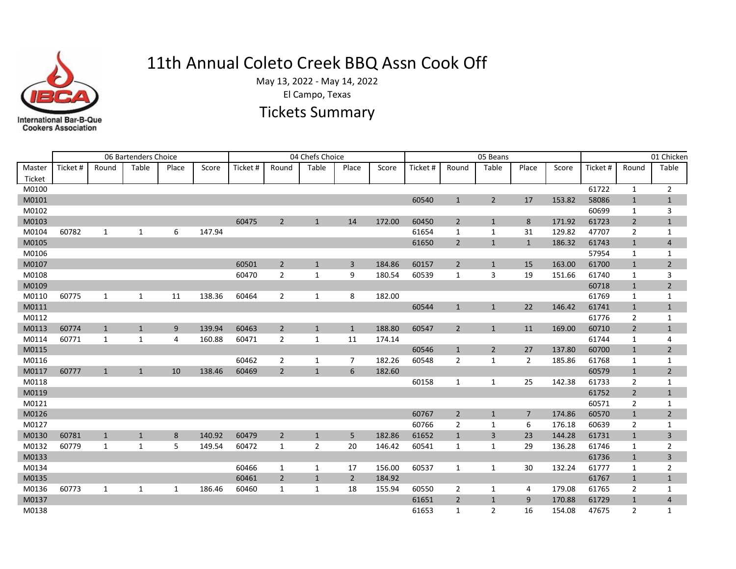

## 11th Annual Coleto Creek BBQ Assn Cook Off

May 13, 2022 - May 14, 2022

El Campo, Texas

## Tickets Summary

|                  |          |              | 06 Bartenders Choice |       |        |         |                |                | 05 Beans       | 01 Chicken |          |                |                |              |        |          |                |                |
|------------------|----------|--------------|----------------------|-------|--------|---------|----------------|----------------|----------------|------------|----------|----------------|----------------|--------------|--------|----------|----------------|----------------|
| Master<br>Ticket | Ticket # | Round        | Table                | Place | Score  | Ticket# | Round          | Table          | Place          | Score      | Ticket # | Round          | Table          | Place        | Score  | Ticket # | Round          | Table          |
| M0100            |          |              |                      |       |        |         |                |                |                |            |          |                |                |              |        | 61722    | $\mathbf{1}$   | $\overline{2}$ |
| M0101            |          |              |                      |       |        |         |                |                |                |            | 60540    | $\mathbf{1}$   | 2              | 17           | 153.82 | 58086    | $\mathbf{1}$   | $\mathbf{1}$   |
| M0102            |          |              |                      |       |        |         |                |                |                |            |          |                |                |              |        | 60699    | 1              | 3              |
| M0103            |          |              |                      |       |        | 60475   | $\overline{2}$ | $\mathbf{1}$   | 14             | 172.00     | 60450    | $\overline{2}$ | $\mathbf{1}$   | 8            | 171.92 | 61723    | $\overline{2}$ | $\mathbf{1}$   |
| M0104            | 60782    | 1            | 1                    | 6     | 147.94 |         |                |                |                |            | 61654    | 1              | 1              | 31           | 129.82 | 47707    | 2              | $\mathbf{1}$   |
| M0105            |          |              |                      |       |        |         |                |                |                |            | 61650    | $\overline{2}$ | $\mathbf{1}$   | $\mathbf{1}$ | 186.32 | 61743    | $\mathbf{1}$   | $\overline{4}$ |
| M0106            |          |              |                      |       |        |         |                |                |                |            |          |                |                |              |        | 57954    | 1              | 1              |
| M0107            |          |              |                      |       |        | 60501   | $\overline{2}$ | $\mathbf{1}$   | 3              | 184.86     | 60157    | $\overline{2}$ | $\mathbf{1}$   | 15           | 163.00 | 61700    | $\mathbf{1}$   | $\overline{2}$ |
| M0108            |          |              |                      |       |        | 60470   | $\overline{2}$ | 1              | 9              | 180.54     | 60539    | 1              | 3              | 19           | 151.66 | 61740    | $\mathbf{1}$   | 3              |
| M0109            |          |              |                      |       |        |         |                |                |                |            |          |                |                |              |        | 60718    | $\mathbf{1}$   | $\overline{2}$ |
| M0110            | 60775    | 1            | 1                    | 11    | 138.36 | 60464   | $\overline{2}$ | 1              | 8              | 182.00     |          |                |                |              |        | 61769    | $\mathbf{1}$   | $\mathbf{1}$   |
| M0111            |          |              |                      |       |        |         |                |                |                |            | 60544    | $\mathbf{1}$   | 1              | 22           | 146.42 | 61741    | $\mathbf{1}$   | $\mathbf{1}$   |
| M0112            |          |              |                      |       |        |         |                |                |                |            |          |                |                |              |        | 61776    | 2              | $\mathbf{1}$   |
| M0113            | 60774    | $\mathbf{1}$ | $\mathbf{1}$         | 9     | 139.94 | 60463   | $\overline{2}$ | $\mathbf{1}$   | $\mathbf{1}$   | 188.80     | 60547    | $\overline{2}$ | 1              | 11           | 169.00 | 60710    | $\overline{2}$ | $\mathbf{1}$   |
| M0114            | 60771    | $\mathbf{1}$ | $\mathbf{1}$         | 4     | 160.88 | 60471   | $\overline{2}$ | $\mathbf{1}$   | 11             | 174.14     |          |                |                |              |        | 61744    | $\mathbf{1}$   | 4              |
| M0115            |          |              |                      |       |        |         |                |                |                |            | 60546    | $\mathbf{1}$   | $\overline{2}$ | 27           | 137.80 | 60700    | $\mathbf{1}$   | $\overline{2}$ |
| M0116            |          |              |                      |       |        | 60462   | 2              | $\mathbf{1}$   | 7              | 182.26     | 60548    | 2              | 1              | 2            | 185.86 | 61768    | 1              | $\mathbf{1}$   |
| M0117            | 60777    | $\mathbf{1}$ | $\mathbf{1}$         | 10    | 138.46 | 60469   | $\overline{2}$ | $\mathbf{1}$   | 6              | 182.60     |          |                |                |              |        | 60579    | $\mathbf{1}$   | $\mathbf 2$    |
| M0118            |          |              |                      |       |        |         |                |                |                |            | 60158    | 1              | 1              | 25           | 142.38 | 61733    | 2              | 1              |
| M0119            |          |              |                      |       |        |         |                |                |                |            |          |                |                |              |        | 61752    | $\overline{2}$ | $\mathbf{1}$   |
| M0121            |          |              |                      |       |        |         |                |                |                |            |          |                |                |              |        | 60571    | 2              | $\mathbf{1}$   |
| M0126            |          |              |                      |       |        |         |                |                |                |            | 60767    | $\overline{2}$ | $\mathbf{1}$   | 7            | 174.86 | 60570    | $\mathbf{1}$   | $\overline{2}$ |
| M0127            |          |              |                      |       |        |         |                |                |                |            | 60766    | $\overline{2}$ | 1              | 6            | 176.18 | 60639    | $\overline{2}$ | $\mathbf{1}$   |
| M0130            | 60781    | $\mathbf{1}$ | $\mathbf{1}$         | 8     | 140.92 | 60479   | $\overline{2}$ | $\mathbf{1}$   | 5              | 182.86     | 61652    | $\mathbf{1}$   | 3              | 23           | 144.28 | 61731    | $\mathbf{1}$   | $\overline{3}$ |
| M0132            | 60779    | 1            | 1                    | 5     | 149.54 | 60472   | 1              | $\overline{2}$ | 20             | 146.42     | 60541    | 1              | 1              | 29           | 136.28 | 61746    | 1              | $\overline{2}$ |
| M0133            |          |              |                      |       |        |         |                |                |                |            |          |                |                |              |        | 61736    | $\mathbf{1}$   | $\overline{3}$ |
| M0134            |          |              |                      |       |        | 60466   | 1              | 1              | 17             | 156.00     | 60537    | 1              | 1              | 30           | 132.24 | 61777    | 1              | 2              |
| M0135            |          |              |                      |       |        | 60461   | $\overline{2}$ | $\mathbf{1}$   | $\overline{2}$ | 184.92     |          |                |                |              |        | 61767    | $\mathbf{1}$   | $\mathbf{1}$   |
| M0136            | 60773    | 1            | $\mathbf{1}$         | 1     | 186.46 | 60460   | 1              | $\mathbf{1}$   | 18             | 155.94     | 60550    | $\overline{2}$ | 1              | 4            | 179.08 | 61765    | 2              | $\mathbf{1}$   |
| M0137            |          |              |                      |       |        |         |                |                |                |            | 61651    | $\overline{2}$ | $\mathbf{1}$   | 9            | 170.88 | 61729    | $\mathbf{1}$   | $\sqrt{4}$     |
| M0138            |          |              |                      |       |        |         |                |                |                |            | 61653    | 1              | $\overline{2}$ | 16           | 154.08 | 47675    | 2              | $\mathbf{1}$   |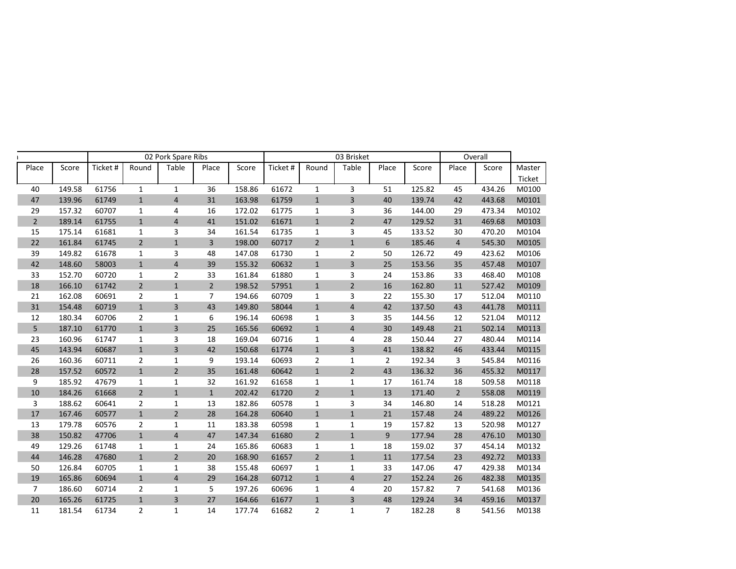|                |        |          |                | 02 Pork Spare Ribs      |                |        |          |                | 03 Brisket     |                |        |                | Overall |        |
|----------------|--------|----------|----------------|-------------------------|----------------|--------|----------|----------------|----------------|----------------|--------|----------------|---------|--------|
| Place          | Score  | Ticket # | Round          | Table                   | Place          | Score  | Ticket # | Round          | Table          | Place          | Score  | Place          | Score   | Master |
|                |        |          |                |                         |                |        |          |                |                |                |        |                |         | Ticket |
| 40             | 149.58 | 61756    | $\mathbf{1}$   | $\mathbf{1}$            | 36             | 158.86 | 61672    | $\mathbf{1}$   | 3              | 51             | 125.82 | 45             | 434.26  | M0100  |
| 47             | 139.96 | 61749    | $\mathbf{1}$   | $\sqrt{4}$              | 31             | 163.98 | 61759    | $\mathbf 1$    | $\overline{3}$ | 40             | 139.74 | 42             | 443.68  | M0101  |
| 29             | 157.32 | 60707    | $\mathbf{1}$   | 4                       | 16             | 172.02 | 61775    | $\mathbf{1}$   | 3              | 36             | 144.00 | 29             | 473.34  | M0102  |
| $\overline{2}$ | 189.14 | 61755    | $\mathbf{1}$   | $\overline{4}$          | 41             | 151.02 | 61671    | $\mathbf{1}$   | $\overline{2}$ | 47             | 129.52 | 31             | 469.68  | M0103  |
| 15             | 175.14 | 61681    | $\mathbf{1}$   | 3                       | 34             | 161.54 | 61735    | 1              | 3              | 45             | 133.52 | 30             | 470.20  | M0104  |
| 22             | 161.84 | 61745    | $\overline{2}$ | $\mathbf 1$             | 3              | 198.00 | 60717    | $\overline{2}$ | $\mathbf{1}$   | 6              | 185.46 | $\overline{4}$ | 545.30  | M0105  |
| 39             | 149.82 | 61678    | $\mathbf{1}$   | 3                       | 48             | 147.08 | 61730    | $\mathbf{1}$   | $\overline{2}$ | 50             | 126.72 | 49             | 423.62  | M0106  |
| 42             | 148.60 | 58003    | $\mathbf{1}$   | $\overline{4}$          | 39             | 155.32 | 60632    | $\mathbf{1}$   | $\overline{3}$ | 25             | 153.56 | 35             | 457.48  | M0107  |
| 33             | 152.70 | 60720    | $\mathbf{1}$   | $\overline{2}$          | 33             | 161.84 | 61880    | $\mathbf{1}$   | 3              | 24             | 153.86 | 33             | 468.40  | M0108  |
| 18             | 166.10 | 61742    | $\overline{2}$ | $\mathbf 1$             | $\overline{2}$ | 198.52 | 57951    | $\mathbf{1}$   | $\overline{2}$ | 16             | 162.80 | 11             | 527.42  | M0109  |
| 21             | 162.08 | 60691    | $\overline{2}$ | $\mathbf{1}$            | $\overline{7}$ | 194.66 | 60709    | 1              | 3              | 22             | 155.30 | 17             | 512.04  | M0110  |
| 31             | 154.48 | 60719    | $\mathbf{1}$   | 3                       | 43             | 149.80 | 58044    | $\mathbf{1}$   | $\sqrt{4}$     | 42             | 137.50 | 43             | 441.78  | M0111  |
| 12             | 180.34 | 60706    | $\overline{2}$ | $\mathbf 1$             | 6              | 196.14 | 60698    | $\mathbf{1}$   | 3              | 35             | 144.56 | 12             | 521.04  | M0112  |
| 5              | 187.10 | 61770    | $\mathbf{1}$   | $\overline{\mathbf{3}}$ | 25             | 165.56 | 60692    | $1\,$          | $\overline{4}$ | 30             | 149.48 | 21             | 502.14  | M0113  |
| 23             | 160.96 | 61747    | $\mathbf{1}$   | 3                       | 18             | 169.04 | 60716    | $\mathbf{1}$   | $\overline{4}$ | 28             | 150.44 | 27             | 480.44  | M0114  |
| 45             | 143.94 | 60687    | $\mathbf{1}$   | $\overline{\mathbf{3}}$ | 42             | 150.68 | 61774    | $\mathbf{1}$   | $\overline{3}$ | 41             | 138.82 | 46             | 433.44  | M0115  |
| 26             | 160.36 | 60711    | $\overline{2}$ | $\mathbf{1}$            | 9              | 193.14 | 60693    | $\overline{2}$ | $\mathbf{1}$   | $\overline{2}$ | 192.34 | 3              | 545.84  | M0116  |
| 28             | 157.52 | 60572    | $\mathbf{1}$   | $\overline{2}$          | 35             | 161.48 | 60642    | $1\,$          | $\overline{2}$ | 43             | 136.32 | 36             | 455.32  | M0117  |
| 9              | 185.92 | 47679    | $\mathbf{1}$   | $\mathbf 1$             | 32             | 161.92 | 61658    | $\mathbf{1}$   | $\mathbf 1$    | 17             | 161.74 | 18             | 509.58  | M0118  |
| 10             | 184.26 | 61668    | $\overline{2}$ | $\mathbf 1$             | $\mathbf 1$    | 202.42 | 61720    | $\sqrt{2}$     | $\mathbf 1$    | 13             | 171.40 | $\overline{2}$ | 558.08  | M0119  |
| 3              | 188.62 | 60641    | $\overline{2}$ | $\mathbf 1$             | 13             | 182.86 | 60578    | $\mathbf{1}$   | 3              | 34             | 146.80 | 14             | 518.28  | M0121  |
| 17             | 167.46 | 60577    | $\mathbf{1}$   | $\overline{2}$          | 28             | 164.28 | 60640    | $\mathbf{1}$   | $\mathbf 1$    | 21             | 157.48 | 24             | 489.22  | M0126  |
| 13             | 179.78 | 60576    | $\overline{2}$ | $\mathbf 1$             | 11             | 183.38 | 60598    | $\mathbf{1}$   | $\mathbf{1}$   | 19             | 157.82 | 13             | 520.98  | M0127  |
| 38             | 150.82 | 47706    | $\mathbf{1}$   | $\sqrt{4}$              | 47             | 147.34 | 61680    | $\overline{2}$ | $\mathbf{1}$   | 9              | 177.94 | 28             | 476.10  | M0130  |
| 49             | 129.26 | 61748    | $\mathbf{1}$   | $\mathbf{1}$            | 24             | 165.86 | 60683    | $\mathbf{1}$   | $\mathbf{1}$   | 18             | 159.02 | 37             | 454.14  | M0132  |
| 44             | 146.28 | 47680    | $\mathbf{1}$   | $\overline{2}$          | 20             | 168.90 | 61657    | $\overline{2}$ | $\mathbf 1$    | $11\,$         | 177.54 | 23             | 492.72  | M0133  |
| 50             | 126.84 | 60705    | $\mathbf{1}$   | $\mathbf{1}$            | 38             | 155.48 | 60697    | $\mathbf{1}$   | $\mathbf{1}$   | 33             | 147.06 | 47             | 429.38  | M0134  |
| 19             | 165.86 | 60694    | $\mathbf{1}$   | $\overline{4}$          | 29             | 164.28 | 60712    | $\mathbf{1}$   | $\overline{4}$ | 27             | 152.24 | 26             | 482.38  | M0135  |
| $\overline{7}$ | 186.60 | 60714    | $\overline{2}$ | $\mathbf{1}$            | 5              | 197.26 | 60696    | $\mathbf{1}$   | 4              | 20             | 157.82 | $\overline{7}$ | 541.68  | M0136  |
| 20             | 165.26 | 61725    | $\mathbf{1}$   | $\overline{3}$          | 27             | 164.66 | 61677    | $\mathbf{1}$   | $\overline{3}$ | 48             | 129.24 | 34             | 459.16  | M0137  |
| 11             | 181.54 | 61734    | $\overline{2}$ | $\mathbf{1}$            | 14             | 177.74 | 61682    | $\overline{2}$ | $\mathbf{1}$   | $\overline{7}$ | 182.28 | 8              | 541.56  | M0138  |
|                |        |          |                |                         |                |        |          |                |                |                |        |                |         |        |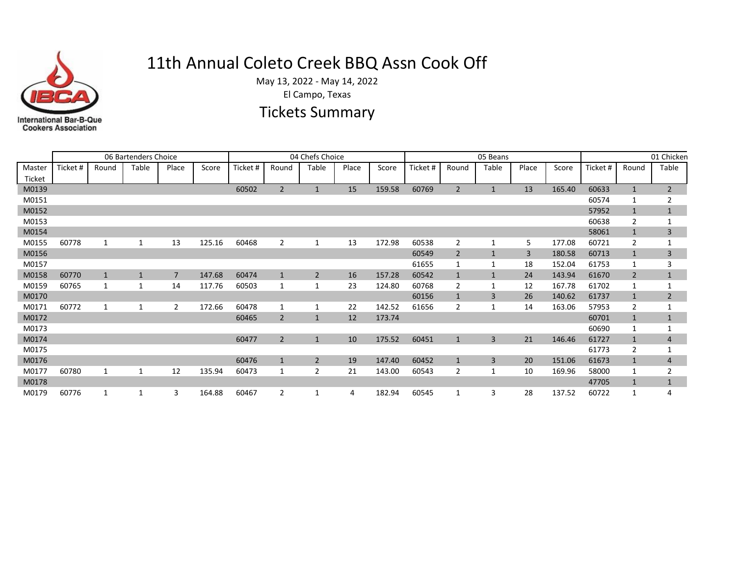

## 11th Annual Coleto Creek BBQ Assn Cook Off

May 13, 2022 - May 14, 2022

El Campo, Texas

## Tickets Summary

|                  |          |              | 06 Bartenders Choice |       |        |          | 04 Chefs Choice |                |       | 05 Beans | 01 Chicken |                |                |       |        |          |                |                |
|------------------|----------|--------------|----------------------|-------|--------|----------|-----------------|----------------|-------|----------|------------|----------------|----------------|-------|--------|----------|----------------|----------------|
| Master<br>Ticket | Ticket # | Round        | Table                | Place | Score  | Ticket # | Round           | Table          | Place | Score    | Ticket #   | Round          | Table          | Place | Score  | Ticket # | Round          | Table          |
| M0139            |          |              |                      |       |        | 60502    | $\overline{2}$  | $\mathbf{1}$   | 15    | 159.58   | 60769      | $\overline{2}$ |                | 13    | 165.40 | 60633    | $\mathbf{1}$   | $\overline{2}$ |
| M0151            |          |              |                      |       |        |          |                 |                |       |          |            |                |                |       |        | 60574    |                | $\overline{2}$ |
| M0152            |          |              |                      |       |        |          |                 |                |       |          |            |                |                |       |        | 57952    | $\mathbf{1}$   | $\mathbf{1}$   |
| M0153            |          |              |                      |       |        |          |                 |                |       |          |            |                |                |       |        | 60638    | $\overline{2}$ |                |
| M0154            |          |              |                      |       |        |          |                 |                |       |          |            |                |                |       |        | 58061    | $\mathbf{1}$   | 3              |
| M0155            | 60778    | 1            |                      | 13    | 125.16 | 60468    | $\overline{2}$  | 1              | 13    | 172.98   | 60538      | $\overline{2}$ |                | 5     | 177.08 | 60721    | $\overline{2}$ | $\mathbf{1}$   |
| M0156            |          |              |                      |       |        |          |                 |                |       |          | 60549      | $\overline{2}$ |                | 3     | 180.58 | 60713    | $\mathbf{1}$   | 3              |
| M0157            |          |              |                      |       |        |          |                 |                |       |          | 61655      |                |                | 18    | 152.04 | 61753    | 1              | 3              |
| M0158            | 60770    | $\mathbf{1}$ |                      | 7     | 147.68 | 60474    | $\mathbf{1}$    | $\overline{2}$ | 16    | 157.28   | 60542      |                |                | 24    | 143.94 | 61670    | $\overline{2}$ | $\mathbf{1}$   |
| M0159            | 60765    | 1            |                      | 14    | 117.76 | 60503    |                 | 1              | 23    | 124.80   | 60768      | 2              |                | 12    | 167.78 | 61702    | 1              |                |
| M0170            |          |              |                      |       |        |          |                 |                |       |          | 60156      |                | $\overline{3}$ | 26    | 140.62 | 61737    | $\mathbf{1}$   | $\overline{2}$ |
| M0171            | 60772    | 1            |                      | 2     | 172.66 | 60478    |                 | 1              | 22    | 142.52   | 61656      | 2              |                | 14    | 163.06 | 57953    | $\overline{2}$ |                |
| M0172            |          |              |                      |       |        | 60465    | 2               | $\mathbf{1}$   | 12    | 173.74   |            |                |                |       |        | 60701    | $\mathbf{1}$   | $\mathbf{1}$   |
| M0173            |          |              |                      |       |        |          |                 |                |       |          |            |                |                |       |        | 60690    | 1              |                |
| M0174            |          |              |                      |       |        | 60477    | $\overline{2}$  | $\mathbf{1}$   | 10    | 175.52   | 60451      | 1              | 3              | 21    | 146.46 | 61727    | $\mathbf{1}$   | 4              |
| M0175            |          |              |                      |       |        |          |                 |                |       |          |            |                |                |       |        | 61773    | $\overline{2}$ |                |
| M0176            |          |              |                      |       |        | 60476    | $\mathbf{1}$    | $\overline{2}$ | 19    | 147.40   | 60452      | $\mathbf{1}$   | $\overline{3}$ | 20    | 151.06 | 61673    | $\mathbf{1}$   | 4              |
| M0177            | 60780    | $\mathbf{1}$ |                      | 12    | 135.94 | 60473    |                 | $\overline{2}$ | 21    | 143.00   | 60543      | $\overline{2}$ |                | 10    | 169.96 | 58000    | 1              | $\overline{2}$ |
| M0178            |          |              |                      |       |        |          |                 |                |       |          |            |                |                |       |        | 47705    | $\mathbf{1}$   | $\mathbf{1}$   |
| M0179            | 60776    | 1            |                      | 3     | 164.88 | 60467    | 2               | 1              | 4     | 182.94   | 60545      |                |                | 28    | 137.52 | 60722    | 1              | 4              |